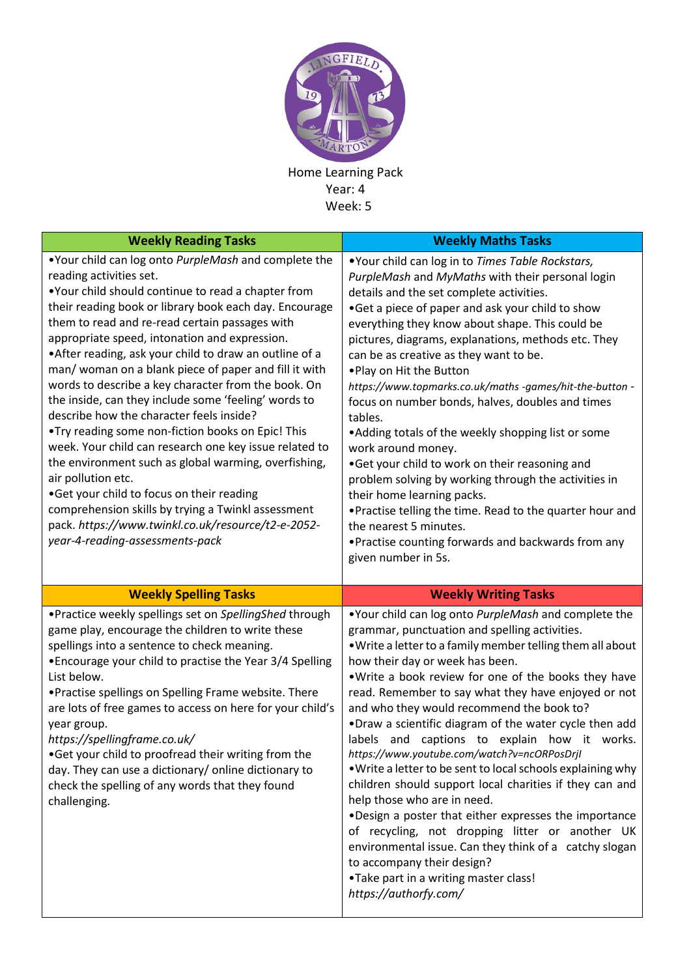

Home Learning Pack Year: 4 Week: 5

| <b>Weekly Reading Tasks</b>                                                                                                                                                                                                                                                                                                                                                                                                                                                                                                                                                                                                                                                                                                                                                                                                                                                                                                                                                 | <b>Weekly Maths Tasks</b>                                                                                                                                                                                                                                                                                                                                                                                                                                                                                                                                                                                                                                                                                                                                                                                                                                                                                  |
|-----------------------------------------------------------------------------------------------------------------------------------------------------------------------------------------------------------------------------------------------------------------------------------------------------------------------------------------------------------------------------------------------------------------------------------------------------------------------------------------------------------------------------------------------------------------------------------------------------------------------------------------------------------------------------------------------------------------------------------------------------------------------------------------------------------------------------------------------------------------------------------------------------------------------------------------------------------------------------|------------------------------------------------------------------------------------------------------------------------------------------------------------------------------------------------------------------------------------------------------------------------------------------------------------------------------------------------------------------------------------------------------------------------------------------------------------------------------------------------------------------------------------------------------------------------------------------------------------------------------------------------------------------------------------------------------------------------------------------------------------------------------------------------------------------------------------------------------------------------------------------------------------|
| .Your child can log onto PurpleMash and complete the<br>reading activities set.<br>.Your child should continue to read a chapter from<br>their reading book or library book each day. Encourage<br>them to read and re-read certain passages with<br>appropriate speed, intonation and expression.<br>• After reading, ask your child to draw an outline of a<br>man/ woman on a blank piece of paper and fill it with<br>words to describe a key character from the book. On<br>the inside, can they include some 'feeling' words to<br>describe how the character feels inside?<br>. Try reading some non-fiction books on Epic! This<br>week. Your child can research one key issue related to<br>the environment such as global warming, overfishing,<br>air pollution etc.<br>.Get your child to focus on their reading<br>comprehension skills by trying a Twinkl assessment<br>pack. https://www.twinkl.co.uk/resource/t2-e-2052-<br>year-4-reading-assessments-pack | . Your child can log in to Times Table Rockstars,<br>PurpleMash and MyMaths with their personal login<br>details and the set complete activities.<br>•Get a piece of paper and ask your child to show<br>everything they know about shape. This could be<br>pictures, diagrams, explanations, methods etc. They<br>can be as creative as they want to be.<br>. Play on Hit the Button<br>https://www.topmarks.co.uk/maths -games/hit-the-button -<br>focus on number bonds, halves, doubles and times<br>tables.<br>• Adding totals of the weekly shopping list or some<br>work around money.<br>.Get your child to work on their reasoning and<br>problem solving by working through the activities in<br>their home learning packs.<br>. Practise telling the time. Read to the quarter hour and<br>the nearest 5 minutes.<br>• Practise counting forwards and backwards from any<br>given number in 5s. |
| <b>Weekly Spelling Tasks</b>                                                                                                                                                                                                                                                                                                                                                                                                                                                                                                                                                                                                                                                                                                                                                                                                                                                                                                                                                | <b>Weekly Writing Tasks</b>                                                                                                                                                                                                                                                                                                                                                                                                                                                                                                                                                                                                                                                                                                                                                                                                                                                                                |
| . Practice weekly spellings set on SpellingShed through                                                                                                                                                                                                                                                                                                                                                                                                                                                                                                                                                                                                                                                                                                                                                                                                                                                                                                                     | .Your child can log onto PurpleMash and complete the                                                                                                                                                                                                                                                                                                                                                                                                                                                                                                                                                                                                                                                                                                                                                                                                                                                       |